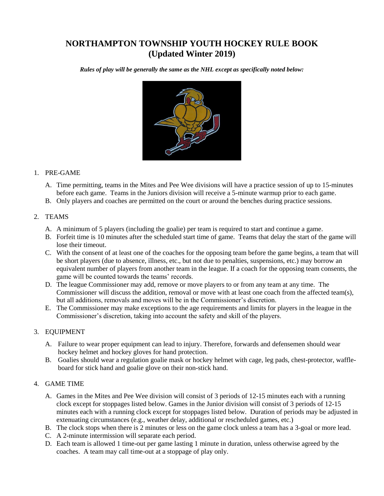# **NORTHAMPTON TOWNSHIP YOUTH HOCKEY RULE BOOK (Updated Winter 2019)**

*Rules of play will be generally the same as the NHL except as specifically noted below:*



#### 1. PRE-GAME

- A. Time permitting, teams in the Mites and Pee Wee divisions will have a practice session of up to 15-minutes before each game. Teams in the Juniors division will receive a 5-minute warmup prior to each game.
- B. Only players and coaches are permitted on the court or around the benches during practice sessions.

### 2. TEAMS

- A. A minimum of 5 players (including the goalie) per team is required to start and continue a game.
- B. Forfeit time is 10 minutes after the scheduled start time of game. Teams that delay the start of the game will lose their timeout.
- C. With the consent of at least one of the coaches for the opposing team before the game begins, a team that will be short players (due to absence, illness, etc., but not due to penalties, suspensions, etc.) may borrow an equivalent number of players from another team in the league. If a coach for the opposing team consents, the game will be counted towards the teams' records.
- D. The league Commissioner may add, remove or move players to or from any team at any time. The Commissioner will discuss the addition, removal or move with at least one coach from the affected team(s), but all additions, removals and moves will be in the Commissioner's discretion.
- E. The Commissioner may make exceptions to the age requirements and limits for players in the league in the Commissioner's discretion, taking into account the safety and skill of the players.

## 3. EQUIPMENT

- A. Failure to wear proper equipment can lead to injury. Therefore, forwards and defensemen should wear hockey helmet and hockey gloves for hand protection.
- B. Goalies should wear a regulation goalie mask or hockey helmet with cage, leg pads, chest-protector, waffleboard for stick hand and goalie glove on their non-stick hand.

#### 4. GAME TIME

- A. Games in the Mites and Pee Wee division will consist of 3 periods of 12-15 minutes each with a running clock except for stoppages listed below. Games in the Junior division will consist of 3 periods of 12-15 minutes each with a running clock except for stoppages listed below. Duration of periods may be adjusted in extenuating circumstances (e.g., weather delay, additional or rescheduled games, etc.)
- B. The clock stops when there is 2 minutes or less on the game clock unless a team has a 3-goal or more lead.
- C. A 2-minute intermission will separate each period.
- D. Each team is allowed 1 time-out per game lasting 1 minute in duration, unless otherwise agreed by the coaches. A team may call time-out at a stoppage of play only.